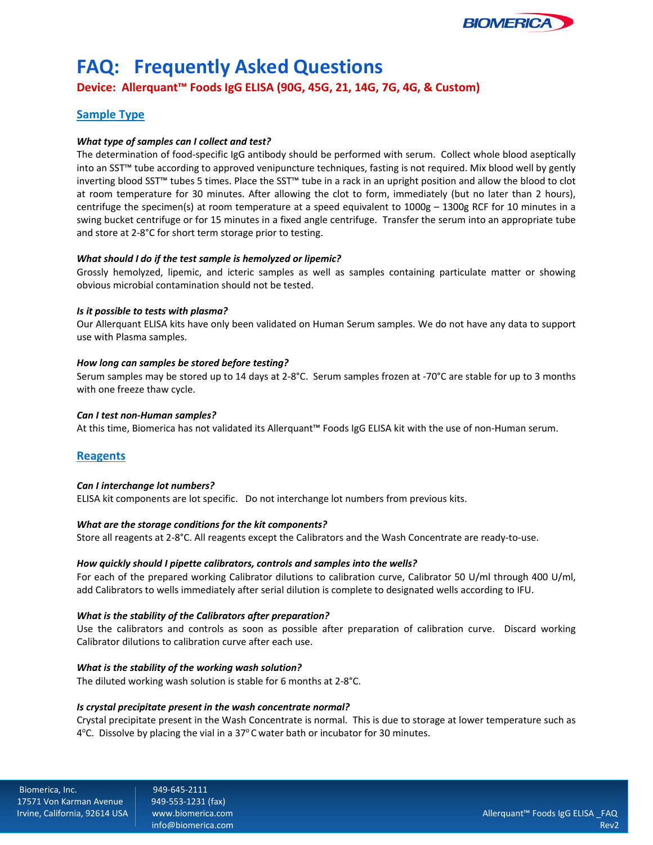

# **FAQ: Frequently Asked Questions**

**Device: Allerquant™ Foods IgG ELISA (90G, 45G, 21, 14G, 7G, 4G, & Custom)**

# **Sample Type**

#### *What type of samples can I collect and test?*

The determination of food-specific IgG antibody should be performed with serum. Collect whole blood aseptically into an SST™ tube according to approved venipuncture techniques, fasting is not required. Mix blood well by gently inverting blood SST™ tubes 5 times. Place the SST™ tube in a rack in an upright position and allow the blood to clot at room temperature for 30 minutes. After allowing the clot to form, immediately (but no later than 2 hours), centrifuge the specimen(s) at room temperature at a speed equivalent to 1000g – 1300g RCF for 10 minutes in a swing bucket centrifuge or for 15 minutes in a fixed angle centrifuge. Transfer the serum into an appropriate tube and store at 2-8°C for short term storage prior to testing.

#### *What should I do if the test sample is hemolyzed or lipemic?*

Grossly hemolyzed, lipemic, and icteric samples as well as samples containing particulate matter or showing obvious microbial contamination should not be tested.

#### *Is it possible to tests with plasma?*

Our Allerquant ELISA kits have only been validated on Human Serum samples. We do not have any data to support use with Plasma samples.

#### *How long can samples be stored before testing?*

Serum samples may be stored up to 14 days at 2-8°C. Serum samples frozen at -70°C are stable for up to 3 months with one freeze thaw cycle.

#### *Can I test non-Human samples?*

At this time, Biomerica has not validated its Allerquant™ Foods IgG ELISA kit with the use of non-Human serum.

### **Reagents**

#### *Can I interchange lot numbers?*

ELISA kit components are lot specific. Do not interchange lot numbers from previous kits.

#### *What are the storage conditions for the kit components?*

Store all reagents at 2-8°C. All reagents except the Calibrators and the Wash Concentrate are ready-to-use.

#### *How quickly should I pipette calibrators, controls and samples into the wells?*

For each of the prepared working Calibrator dilutions to calibration curve, Calibrator 50 U/ml through 400 U/ml, add Calibrators to wells immediately after serial dilution is complete to designated wells according to IFU.

#### *What is the stability of the Calibrators after preparation?*

Use the calibrators and controls as soon as possible after preparation of calibration curve. Discard working Calibrator dilutions to calibration curve after each use.

#### *What is the stability of the working wash solution?*

The diluted working wash solution is stable for 6 months at 2-8°C.

#### *Is crystal precipitate present in the wash concentrate normal?*

Crystal precipitate present in the Wash Concentrate is normal. This is due to storage at lower temperature such as 4°C. Dissolve by placing the vial in a 37°C water bath or incubator for 30 minutes.

Biomerica, Inc.<br>17571 Von Karman Avenue | 949-553-1231 (fax) 17571 Von Karman Avenue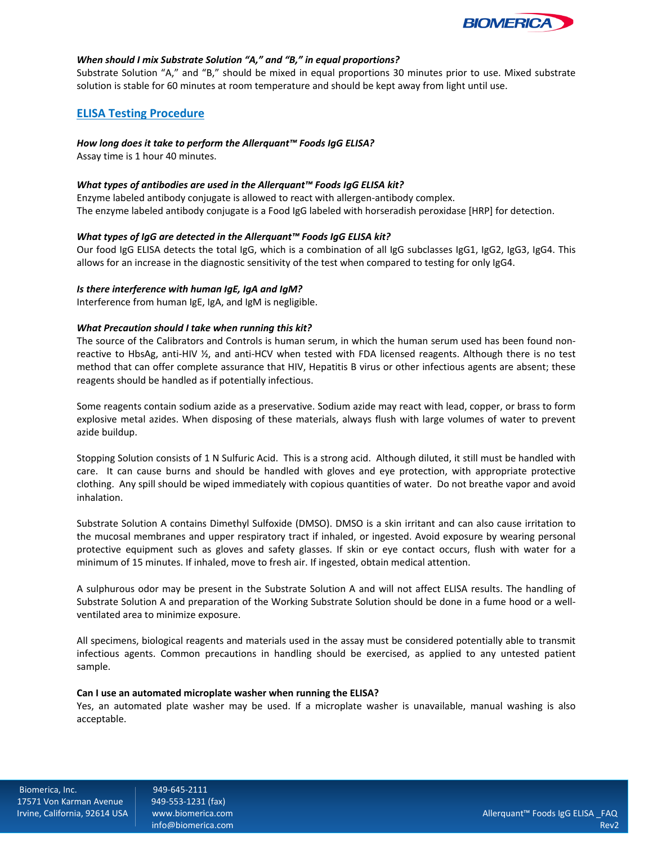

#### *When should I mix Substrate Solution "A," and "B," in equal proportions?*

Substrate Solution "A," and "B," should be mixed in equal proportions 30 minutes prior to use. Mixed substrate solution is stable for 60 minutes at room temperature and should be kept away from light until use.

## **ELISA Testing Procedure**

#### *How long does it take to perform the Allerquant™ Foods IgG ELISA?*

Assay time is 1 hour 40 minutes.

#### *What types of antibodies are used in the Allerquant™ Foods IgG ELISA kit?*

Enzyme labeled antibody conjugate is allowed to react with allergen-antibody complex. The enzyme labeled antibody conjugate is a Food IgG labeled with horseradish peroxidase [HRP] for detection.

#### *What types of IgG are detected in the Allerquant™ Foods IgG ELISA kit?*

Our food IgG ELISA detects the total IgG, which is a combination of all IgG subclasses IgG1, IgG2, IgG3, IgG4. This allows for an increase in the diagnostic sensitivity of the test when compared to testing for only IgG4.

#### *Is there interference with human IgE, IgA and IgM?*

Interference from human IgE, IgA, and IgM is negligible.

#### *What Precaution should I take when running this kit?*

The source of the Calibrators and Controls is human serum, in which the human serum used has been found nonreactive to HbsAg, anti-HIV ½, and anti-HCV when tested with FDA licensed reagents. Although there is no test method that can offer complete assurance that HIV, Hepatitis B virus or other infectious agents are absent; these reagents should be handled as if potentially infectious.

Some reagents contain sodium azide as a preservative. Sodium azide may react with lead, copper, or brass to form explosive metal azides. When disposing of these materials, always flush with large volumes of water to prevent azide buildup.

Stopping Solution consists of 1 N Sulfuric Acid. This is a strong acid. Although diluted, it still must be handled with care. It can cause burns and should be handled with gloves and eye protection, with appropriate protective clothing. Any spill should be wiped immediately with copious quantities of water. Do not breathe vapor and avoid inhalation.

Substrate Solution A contains Dimethyl Sulfoxide (DMSO). DMSO is a skin irritant and can also cause irritation to the mucosal membranes and upper respiratory tract if inhaled, or ingested. Avoid exposure by wearing personal protective equipment such as gloves and safety glasses. If skin or eye contact occurs, flush with water for a minimum of 15 minutes. If inhaled, move to fresh air. If ingested, obtain medical attention.

A sulphurous odor may be present in the Substrate Solution A and will not affect ELISA results. The handling of Substrate Solution A and preparation of the Working Substrate Solution should be done in a fume hood or a wellventilated area to minimize exposure.

All specimens, biological reagents and materials used in the assay must be considered potentially able to transmit infectious agents. Common precautions in handling should be exercised, as applied to any untested patient sample.

#### **Can I use an automated microplate washer when running the ELISA?**

Yes, an automated plate washer may be used. If a microplate washer is unavailable, manual washing is also acceptable.

Biomerica, Inc. (1949-645-2111)<br>17571 Von Karman Avenue (1949-553-1231 (fax) 17571 Von Karman Avenue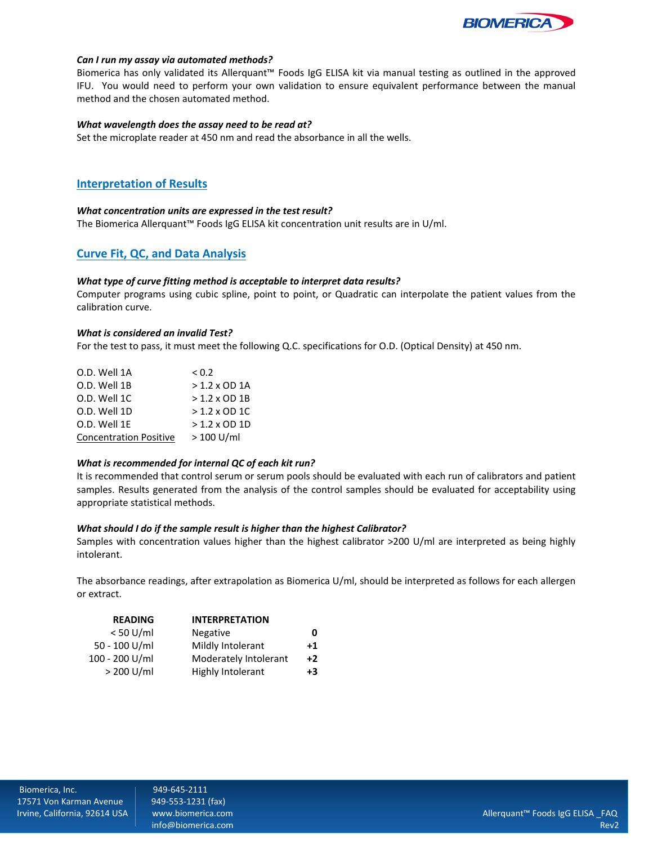

#### *Can I run my assay via automated methods?*

Biomerica has only validated its Allerquant™ Foods IgG ELISA kit via manual testing as outlined in the approved IFU. You would need to perform your own validation to ensure equivalent performance between the manual method and the chosen automated method.

#### *What wavelength does the assay need to be read at?*

Set the microplate reader at 450 nm and read the absorbance in all the wells.

# **Interpretation of Results**

#### *What concentration units are expressed in the test result?*

The Biomerica Allerquant™ Foods IgG ELISA kit concentration unit results are in U/ml.

# **Curve Fit, QC, and Data Analysis**

#### *What type of curve fitting method is acceptable to interpret data results?*

Computer programs using cubic spline, point to point, or Quadratic can interpolate the patient values from the calibration curve.

#### *What is considered an invalid Test?*

For the test to pass, it must meet the following Q.C. specifications for O.D. (Optical Density) at 450 nm.

| O.D. Well 1A                  | < 0.2                |
|-------------------------------|----------------------|
| O.D. Well 1B                  | $>1.2 \times$ OD 1A  |
| O.D. Well 1C                  | $>1.2 \times$ OD 1B  |
| O.D. Well 1D                  | $> 1.2 \times$ OD 1C |
| O.D. Well 1E                  | $>1.2 \times$ OD 1D  |
| <b>Concentration Positive</b> | $>100$ U/ml          |

#### *What is recommended for internal QC of each kit run?*

It is recommended that control serum or serum pools should be evaluated with each run of calibrators and patient samples. Results generated from the analysis of the control samples should be evaluated for acceptability using appropriate statistical methods.

#### *What should I do if the sample result is higher than the highest Calibrator?*

Samples with concentration values higher than the highest calibrator >200 U/ml are interpreted as being highly intolerant.

The absorbance readings, after extrapolation as Biomerica U/ml, should be interpreted as follows for each allergen or extract.

| <b>READING</b> | <b>INTERPRETATION</b> |             |
|----------------|-----------------------|-------------|
| $< 50$ U/ml    | <b>Negative</b>       | 0           |
| 50 - 100 U/ml  | Mildly Intolerant     | $^{\bf +1}$ |
| 100 - 200 U/ml | Moderately Intolerant | $+2$        |
| > 200 U/ml     | Highly Intolerant     | +3          |
|                |                       |             |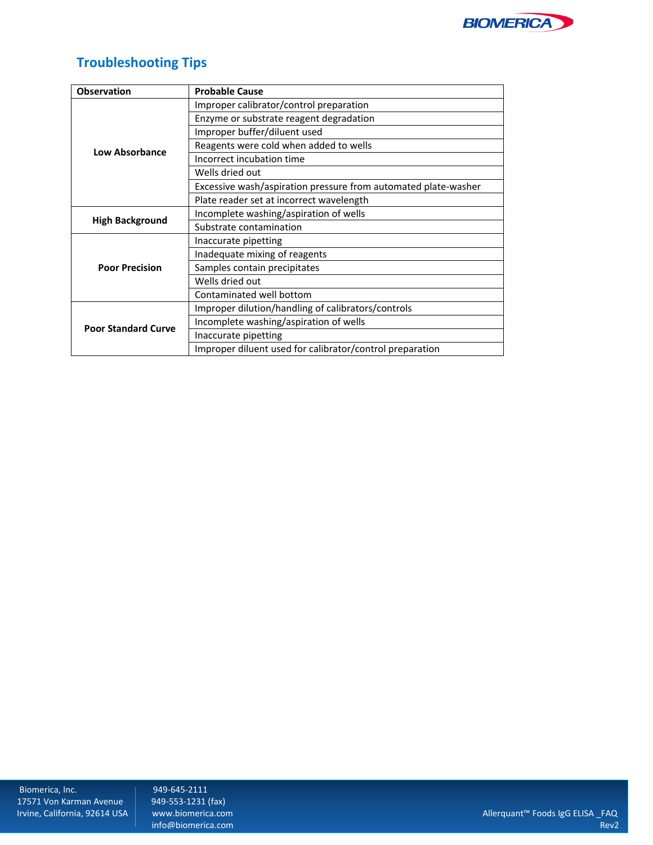

# **Troubleshooting Tips**

| <b>Observation</b>         | <b>Probable Cause</b>                                          |
|----------------------------|----------------------------------------------------------------|
|                            | Improper calibrator/control preparation                        |
|                            | Enzyme or substrate reagent degradation                        |
|                            | Improper buffer/diluent used                                   |
| <b>Low Absorbance</b>      | Reagents were cold when added to wells                         |
|                            | Incorrect incubation time                                      |
|                            | Wells dried out                                                |
|                            | Excessive wash/aspiration pressure from automated plate-washer |
|                            | Plate reader set at incorrect wavelength                       |
|                            | Incomplete washing/aspiration of wells                         |
| <b>High Background</b>     | Substrate contamination                                        |
|                            | Inaccurate pipetting                                           |
|                            | Inadequate mixing of reagents                                  |
| <b>Poor Precision</b>      | Samples contain precipitates                                   |
|                            | Wells dried out                                                |
|                            | Contaminated well bottom                                       |
|                            | Improper dilution/handling of calibrators/controls             |
| <b>Poor Standard Curve</b> | Incomplete washing/aspiration of wells                         |
|                            | Inaccurate pipetting                                           |
|                            | Improper diluent used for calibrator/control preparation       |

info@biomerica.com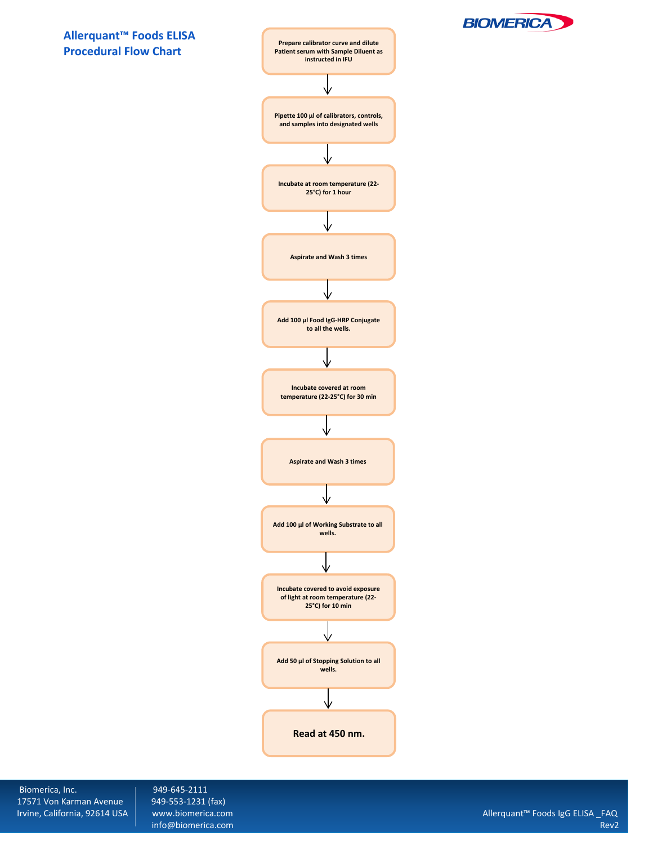



Biomerica, Inc. (1998) 949-645-2111<br>17571 Von Karman Avenue (1949-553-1231 (fax) 17571 Von Karman Avenue<br>Irvine, California, 92614 USA

**BIOMERICA**